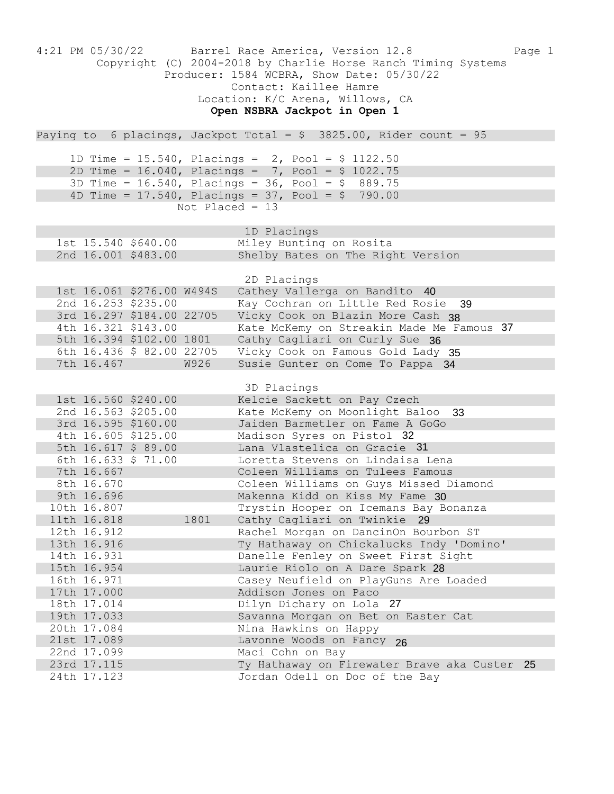| 4:21 PM 05/30/22           | Barrel Race America, Version 12.8<br>Page 1<br>Copyright (C) 2004-2018 by Charlie Horse Ranch Timing Systems<br>Producer: 1584 WCBRA, Show Date: 05/30/22<br>Contact: Kaillee Hamre<br>Location: K/C Arena, Willows, CA<br>Open NSBRA Jackpot in Open 1 |
|----------------------------|---------------------------------------------------------------------------------------------------------------------------------------------------------------------------------------------------------------------------------------------------------|
|                            | Paying to 6 placings, Jackpot Total = $$3825.00$ , Rider count = 95                                                                                                                                                                                     |
|                            |                                                                                                                                                                                                                                                         |
|                            | 1D Time = 15.540, Placings = 2, Pool = $$1122.50$                                                                                                                                                                                                       |
|                            | 2D Time = $16.040$ , Placings = 7, Pool = \$ 1022.75                                                                                                                                                                                                    |
|                            | 3D Time = $16.540$ , Placings = $36$ , Pool = $$889.75$                                                                                                                                                                                                 |
|                            | 4D Time = $17.540$ , Placings = $37$ , Pool = \$ 790.00                                                                                                                                                                                                 |
| Not Placed = $13$          |                                                                                                                                                                                                                                                         |
|                            | 1D Placings                                                                                                                                                                                                                                             |
| 1st 15.540 \$640.00        | Miley Bunting on Rosita                                                                                                                                                                                                                                 |
| 2nd 16.001 \$483.00        | Shelby Bates on The Right Version                                                                                                                                                                                                                       |
|                            |                                                                                                                                                                                                                                                         |
|                            | 2D Placings                                                                                                                                                                                                                                             |
| 1st 16.061 \$276.00 W494S  | Cathey Vallerga on Bandito 40                                                                                                                                                                                                                           |
| 2nd 16.253 \$235.00        | Kay Cochran on Little Red Rosie<br>39                                                                                                                                                                                                                   |
| 3rd 16.297 \$184.00 22705  | Vicky Cook on Blazin More Cash 38                                                                                                                                                                                                                       |
| 4th 16.321 \$143.00        | Kate McKemy on Streakin Made Me Famous 37                                                                                                                                                                                                               |
| 5th 16.394 \$102.00 1801   | Cathy Cagliari on Curly Sue 36                                                                                                                                                                                                                          |
| 6th 16.436 \$ 82.00 22705  | Vicky Cook on Famous Gold Lady 35                                                                                                                                                                                                                       |
| 7th 16.467<br><b>W926</b>  | Susie Gunter on Come To Pappa 34                                                                                                                                                                                                                        |
|                            |                                                                                                                                                                                                                                                         |
| 1st 16.560 \$240.00        | 3D Placings<br>Kelcie Sackett on Pay Czech                                                                                                                                                                                                              |
| 2nd 16.563 \$205.00        | Kate McKemy on Moonlight Baloo 33                                                                                                                                                                                                                       |
| 3rd 16.595 \$160.00        | Jaiden Barmetler on Fame A GoGo                                                                                                                                                                                                                         |
| 4th 16.605 \$125.00        | Madison Syres on Pistol 32                                                                                                                                                                                                                              |
| 5th 16.617 \$ 89.00        | Lana Vlastelica on Gracie 31                                                                                                                                                                                                                            |
| 6th 16.633 \$ 71.00        | Loretta Stevens on Lindaisa Lena                                                                                                                                                                                                                        |
| 7th 16.667                 | Coleen Williams on Tulees Famous                                                                                                                                                                                                                        |
| 8th 16.670                 | Coleen Williams on Guys Missed Diamond                                                                                                                                                                                                                  |
| 9th 16.696                 | Makenna Kidd on Kiss My Fame 30                                                                                                                                                                                                                         |
| 10th 16.807                | Trystin Hooper on Icemans Bay Bonanza                                                                                                                                                                                                                   |
| 11th 16.818<br>1801        | Cathy Cagliari on Twinkie 29                                                                                                                                                                                                                            |
| 12th 16.912                | Rachel Morgan on DancinOn Bourbon ST                                                                                                                                                                                                                    |
| 13th 16.916                | Ty Hathaway on Chickalucks Indy 'Domino'                                                                                                                                                                                                                |
| 14th 16.931                | Danelle Fenley on Sweet First Sight                                                                                                                                                                                                                     |
| 15th 16.954<br>16th 16.971 | Laurie Riolo on A Dare Spark 28<br>Casey Neufield on PlayGuns Are Loaded                                                                                                                                                                                |
| 17th 17.000                | Addison Jones on Paco                                                                                                                                                                                                                                   |
| 18th 17.014                | Dilyn Dichary on Lola 27                                                                                                                                                                                                                                |
| 19th 17.033                | Savanna Morgan on Bet on Easter Cat                                                                                                                                                                                                                     |
| 20th 17.084                | Nina Hawkins on Happy                                                                                                                                                                                                                                   |
| 21st 17.089                | Lavonne Woods on Fancy 26                                                                                                                                                                                                                               |
| 22nd 17.099                | Maci Cohn on Bay                                                                                                                                                                                                                                        |
| 23rd 17.115                | Ty Hathaway on Firewater Brave aka Custer 25                                                                                                                                                                                                            |
| 24th 17.123                | Jordan Odell on Doc of the Bay                                                                                                                                                                                                                          |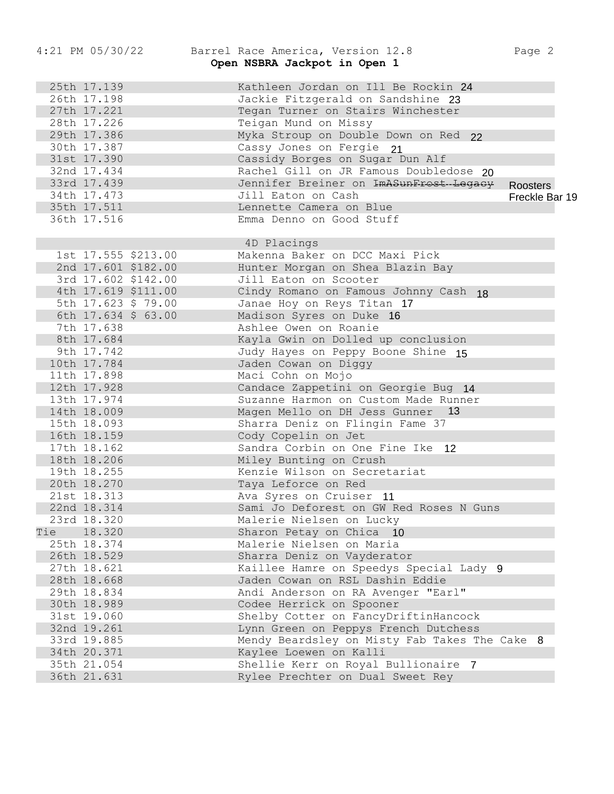## 4:21 PM 05/30/22 Barrel Race America, Version 12.8 Page 2 Open NSBRA Jackpot in Open 1

25th 17.139 Kathleen Jordan on Ill Be Rockin 24 26th 17.198 Jackie Fitzgerald on Sandshine 23 27th 17.221 Tegan Turner on Stairs Winchester 28th 17.226 Teigan Mund on Missy 29th 17.386 Myka Stroup on Double Down on Red 30th 17.387 Cassy Jones on Fergie 31st 17.390 Cassidy Borges on Sugar Dun Alf 32nd 17.434 Rachel Gill on JR Famous Doubledose 33rd 17.439 Jennifer Breiner on ImASunFrost-Legacy 34th 17.473 Jill Eaton on Cash 35th 17.511 Lennette Camera on Blue 36th 17.516 Emma Denno on Good Stuff 4D Placings 1st 17.555 \$213.00 Makenna Baker on DCC Maxi Pick 2nd 17.601 \$182.00 Hunter Morgan on Shea Blazin Bay 3rd 17.602 \$142.00 Jill Eaton on Scooter 4th 17.619 \$111.00 Cindy Romano on Famous Johnny Cash 18 5th 17.623 \$ 79.00 Janae Hoy on Reys Titan 6th 17.634 \$ 63.00 Madison Syres on Duke 7th 17.638 Ashlee Owen on Roanie 8th 17.684 Kayla Gwin on Dolled up conclusion 9th 17.742 Judy Hayes on Peppy Boone Shine 15 10th 17.784 Jaden Cowan on Diggy 11th 17.898 Maci Cohn on Mojo 12th 17.928 Candace Zappetini on Georgie Bug 14 13th 17.974 Suzanne Harmon on Custom Made Runner 14th 18.009 Magen Mello on DH Jess Gunner 13 15th 18.093 Sharra Deniz on Flingin Fame 37 16th 18.159 Cody Copelin on Jet 17th 18.162 Sandra Corbin on One Fine Ike 12 18th 18.206 Miley Bunting on Crush 19th 18.255 Kenzie Wilson on Secretariat 20th 18.270 Taya Leforce on Red 21st 18.313 Ava Syres on Cruiser 11 22nd 18.314 Sami Jo Deforest on GW Red Roses N Guns 23rd 18.320 Malerie Nielsen on Lucky Tie 18.320 Sharon Petay on Chica 10 25th 18.374 Malerie Nielsen on Maria 26th 18.529 Sharra Deniz on Vayderator 27th 18.621 Kaillee Hamre on Speedys Special Lady 9 28th 18.668 Jaden Cowan on RSL Dashin Eddie 29th 18.834 Andi Anderson on RA Avenger "Earl" 30th 18.989 Codee Herrick on Spooner 31st 19.060 Shelby Cotter on FancyDriftinHancock 32nd 19.261 Lynn Green on Peppys French Dutchess 33rd 19.885 Mendy Beardsley on Misty Fab Takes The Cake 8 34th 20.371 Kaylee Loewen on Kalli 35th 21.054 Shellie Kerr on Royal Bullionaire 7 36th 21.631 Rylee Prechter on Dual Sweet Rey ImASunFrost-Legacy Roosters<br>
Ilue<br>
10 Freckle B<br>
10 16<br>
20 16<br>
20 16<br>
20 16<br>
20 16<br>
20 16<br>
20 16<br>
20 16<br>
20 17<br>
20 17<br>
30 17<br>
30 17<br>
30 17<br>
50 18<br>
20 17<br>
20 14<br>
50 17<br>
30 17<br>
30 17<br>
20 14<br>
50 17<br>
50 18<br>
20 17<br>
20 18<br>
20 18 Be Rockin 24<br>
Indshine 23<br>
Winchester<br>
Nown on Red 22<br>
21<br>
Dun Alf<br>
Is Doubledose 20<br>
SunFrost-Legacy Roosters<br>
Freckle Bar 19